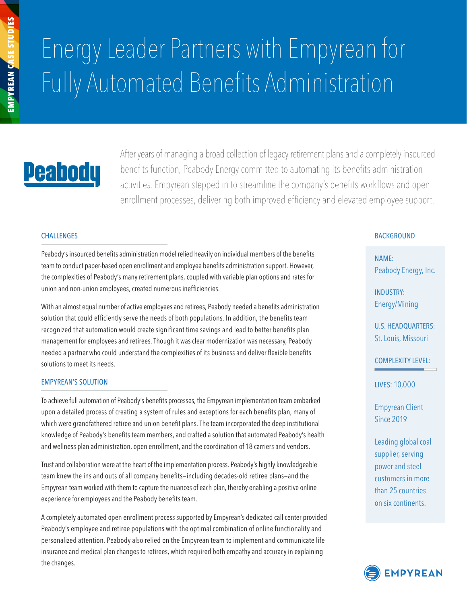# Energy Leader Partners with Empyrean for Fully Automated Benefits Administration

## **Peabody**

After years of managing a broad collection of legacy retirement plans and a completely insourced benefits function, Peabody Energy committed to automating its benefits administration activities. Empyrean stepped in to streamline the company's benefits workflows and open enrollment processes, delivering both improved efficiency and elevated employee support.

#### CHALLENGES

Peabody's insourced benefits administration model relied heavily on individual members of the benefits team to conduct paper-based open enrollment and employee benefits administration support. However, the complexities of Peabody's many retirement plans, coupled with variable plan options and rates for union and non-union employees, created numerous inefficiencies.

With an almost equal number of active employees and retirees, Peabody needed a benefits administration solution that could efficiently serve the needs of both populations. In addition, the benefits team recognized that automation would create significant time savings and lead to better benefits plan management for employees and retirees. Though it was clear modernization was necessary, Peabody needed a partner who could understand the complexities of its business and deliver flexible benefits solutions to meet its needs.

#### EMPYREAN'S SOLUTION

To achieve full automation of Peabody's benefits processes, the Empyrean implementation team embarked upon a detailed process of creating a system of rules and exceptions for each benefits plan, many of which were grandfathered retiree and union benefit plans. The team incorporated the deep institutional knowledge of Peabody's benefits team members, and crafted a solution that automated Peabody's health and wellness plan administration, open enrollment, and the coordination of 18 carriers and vendors.

Trust and collaboration were at the heart of the implementation process. Peabody's highly knowledgeable team knew the ins and outs of all company benefits—including decades-old retiree plans—and the Empyrean team worked with them to capture the nuances of each plan, thereby enabling a positive online experience for employees and the Peabody benefits team.

A completely automated open enrollment process supported by Empyrean's dedicated call center provided Peabody's employee and retiree populations with the optimal combination of online functionality and personalized attention. Peabody also relied on the Empyrean team to implement and communicate life insurance and medical plan changes to retirees, which required both empathy and accuracy in explaining the changes.

#### **BACKGROUND**

NAME: Peabody Energy, Inc.

INDUSTRY: Energy/Mining

U.S. HEADQUARTERS: St. Louis, Missouri

COMPLEXITY LEVEL:

LIVES: 10,000

Empyrean Client Since 2019

Leading global coal supplier, serving power and steel customers in more than 25 countries on six continents.